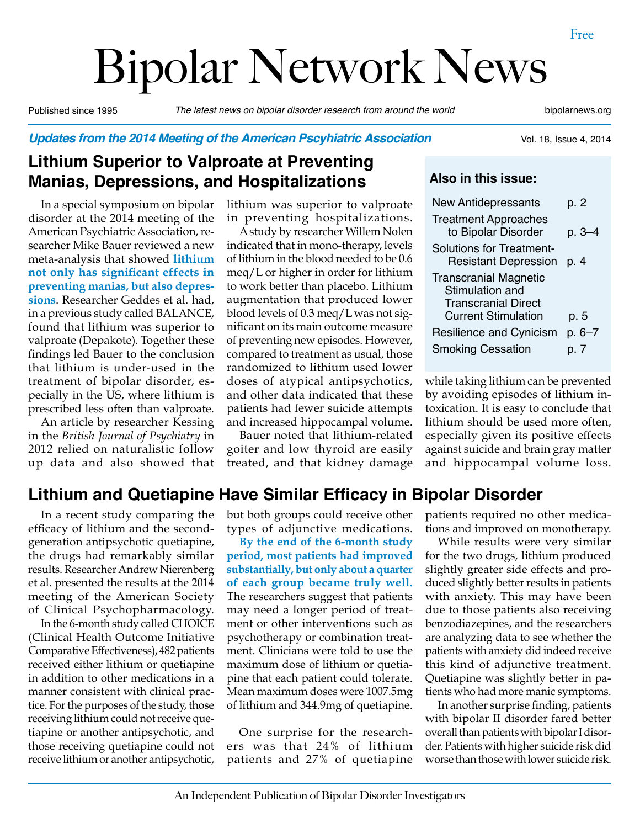# Bipolar Network News

Published since 1995 *The latest news on bipolar disorder research from around the world* bipolarnews.org

Vol. 18, Issue 4, 2014

*Updates from the 2014 Meeting of the American Pscyhiatric Association*

# **Lithium Superior to Valproate at Preventing Manias, Depressions, and Hospitalizations**

In a special symposium on bipolar disorder at the 2014 meeting of the American Psychiatric Association, researcher Mike Bauer reviewed a new meta-analysis that showed **lithium not only has significant effects in preventing manias, but also depressions**. Researcher Geddes et al. had, in a previous study called BALANCE, found that lithium was superior to valproate (Depakote). Together these findings led Bauer to the conclusion that lithium is under-used in the treatment of bipolar disorder, especially in the US, where lithium is prescribed less often than valproate.

An article by researcher Kessing in the *British Journal of Psychiatry* in 2012 relied on naturalistic follow up data and also showed that lithium was superior to valproate in preventing hospitalizations.

A study by researcher Willem Nolen indicated that in mono-therapy, levels of lithium in the blood needed to be 0.6 meq/L or higher in order for lithium to work better than placebo. Lithium augmentation that produced lower blood levels of 0.3 meq/L was not significant on its main outcome measure of preventing new episodes. However, compared to treatment as usual, those randomized to lithium used lower doses of atypical antipsychotics, and other data indicated that these patients had fewer suicide attempts and increased hippocampal volume.

Bauer noted that lithium-related goiter and low thyroid are easily treated, and that kidney damage

#### **Also in this issue:**

| <b>New Antidepressants</b>                                                                                  | p. 2   |
|-------------------------------------------------------------------------------------------------------------|--------|
| <b>Treatment Approaches</b><br>to Bipolar Disorder                                                          | p. 3–4 |
| <b>Solutions for Treatment-</b><br><b>Resistant Depression</b>                                              | p. 4   |
| <b>Transcranial Magnetic</b><br>Stimulation and<br><b>Transcranial Direct</b><br><b>Current Stimulation</b> | p. 5   |
| <b>Resilience and Cynicism</b>                                                                              | p. 6–7 |
| <b>Smoking Cessation</b>                                                                                    | p. 7   |

while taking lithium can be prevented by avoiding episodes of lithium intoxication. It is easy to conclude that lithium should be used more often, especially given its positive effects against suicide and brain gray matter and hippocampal volume loss.

# **Lithium and Quetiapine Have Similar Efficacy in Bipolar Disorder**

In a recent study comparing the efficacy of lithium and the secondgeneration antipsychotic quetiapine, the drugs had remarkably similar results. Researcher Andrew Nierenberg et al. presented the results at the 2014 meeting of the American Society of Clinical Psychopharmacology.

In the 6-month study called CHOICE (Clinical Health Outcome Initiative Comparative Effectiveness), 482 patients received either lithium or quetiapine in addition to other medications in a manner consistent with clinical practice. For the purposes of the study, those receiving lithium could not receive quetiapine or another antipsychotic, and those receiving quetiapine could not receive lithium or another antipsychotic,

but both groups could receive other types of adjunctive medications.

**By the end of the 6-month study period, most patients had improved substantially, but only about a quarter of each group became truly well.**  The researchers suggest that patients may need a longer period of treatment or other interventions such as psychotherapy or combination treatment. Clinicians were told to use the maximum dose of lithium or quetiapine that each patient could tolerate. Mean maximum doses were 1007.5mg of lithium and 344.9mg of quetiapine.

One surprise for the researchers was that 24% of lithium patients and 27% of quetiapine patients required no other medications and improved on monotherapy.

While results were very similar for the two drugs, lithium produced slightly greater side effects and produced slightly better results in patients with anxiety. This may have been due to those patients also receiving benzodiazepines, and the researchers are analyzing data to see whether the patients with anxiety did indeed receive this kind of adjunctive treatment. Quetiapine was slightly better in patients who had more manic symptoms.

In another surprise finding, patients with bipolar II disorder fared better overall than patients with bipolar I disorder. Patients with higher suicide risk did worse than those with lower suicide risk.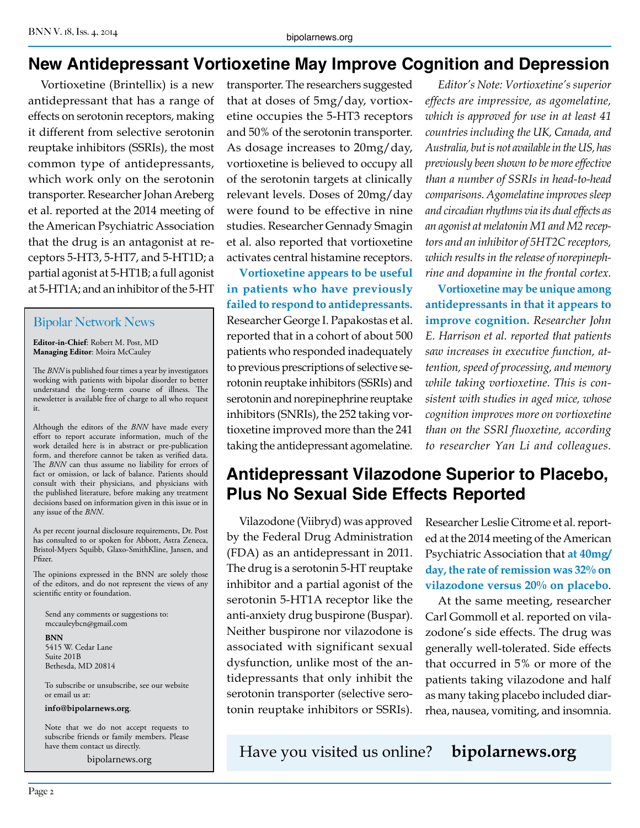# **New Antidepressant Vortioxetine May Improve Cognition and Depression**

Vortioxetine (Brintellix) is a new antidepressant that has a range of effects on serotonin receptors, making it different from selective serotonin reuptake inhibitors (SSRIs), the most common type of antidepressants, which work only on the serotonin transporter. Researcher Johan Areberg et al. reported at the 2014 meeting of the American Psychiatric Association that the drug is an antagonist at receptors 5-HT3, 5-HT7, and 5-HT1D; a partial agonist at 5-HT1B; a full agonist at 5-HT1A; and an inhibitor of the 5-HT

#### Bipolar Network News

**Editor-in-Chief**: Robert M. Post, MD **Managing Editor**: Moira McCauley

The *BNN* is published four times a year by investigators working with patients with bipolar disorder to better understand the long-term course of illness. The newsletter is available free of charge to all who request it.

Although the editors of the *BNN* have made every effort to report accurate information, much of the work detailed here is in abstract or pre-publication form, and therefore cannot be taken as verified data. The **BNN** can thus assume no liability for errors of fact or omission, or lack of balance. Patients should consult with their physicians, and physicians with the published literature, before making any treatment decisions based on information given in this issue or in any issue of the *BNN*.

As per recent journal disclosure requirements, Dr. Post has consulted to or spoken for Abbott, Astra Zeneca, Bristol-Myers Squibb, Glaxo-SmithKline, Jansen, and Pfizer.

The opinions expressed in the BNN are solely those of the editors, and do not represent the views of any scientific entity or foundation.

Send any comments or suggestions to: mccauleybcn@gmail.com

**BNN** 5415 W. Cedar Lane Suite 201B Bethesda, MD 20814

To subscribe or unsubscribe, see our website or email us at:

**info@bipolarnews.org**.

Note that we do not accept requests to subscribe friends or family members. Please have them contact us directly.

transporter. The researchers suggested that at doses of 5mg/day, vortioxetine occupies the 5-HT3 receptors and 50% of the serotonin transporter. As dosage increases to 20mg/day, vortioxetine is believed to occupy all of the serotonin targets at clinically relevant levels. Doses of 20mg/day were found to be effective in nine studies. Researcher Gennady Smagin et al. also reported that vortioxetine activates central histamine receptors.

**Vortioxetine appears to be useful in patients who have previously failed to respond to antidepressants.**  Researcher George I. Papakostas et al. reported that in a cohort of about 500 patients who responded inadequately to previous prescriptions of selective serotonin reuptake inhibitors (SSRIs) and serotonin and norepinephrine reuptake inhibitors (SNRIs), the 252 taking vortioxetine improved more than the 241 taking the antidepressant agomelatine.

*Editor's Note: Vortioxetine's superior effects are impressive, as agomelatine, which is approved for use in at least 41 countries including the UK, Canada, and Australia, but is not available in the US, has previously been shown to be more effective than a number of SSRIs in head-to-head comparisons. Agomelatine improves sleep and circadian rhythms via its dual effects as an agonist at melatonin M1 and M2 receptors and an inhibitor of 5HT2C receptors, which results in the release of norepinephrine and dopamine in the frontal cortex.*

**Vortioxetine may be unique among antidepressants in that it appears to improve cognition.** *Researcher John E. Harrison et al. reported that patients saw increases in executive function, attention, speed of processing, and memory while taking vortioxetine. This is consistent with studies in aged mice, whose cognition improves more on vortioxetine than on the SSRI fluoxetine, according to researcher Yan Li and colleagues.*

# **Antidepressant Vilazodone Superior to Placebo, Plus No Sexual Side Effects Reported**

Vilazodone (Viibryd) was approved by the Federal Drug Administration (FDA) as an antidepressant in 2011. The drug is a serotonin 5-HT reuptake inhibitor and a partial agonist of the serotonin 5-HT1A receptor like the anti-anxiety drug buspirone (Buspar). Neither buspirone nor vilazodone is associated with significant sexual dysfunction, unlike most of the antidepressants that only inhibit the serotonin transporter (selective serotonin reuptake inhibitors or SSRIs).

Researcher Leslie Citrome et al. reported at the 2014 meeting of the American Psychiatric Association that **at 40mg/ day, the rate of remission was 32% on vilazodone versus 20% on placebo**.

At the same meeting, researcher Carl Gommoll et al. reported on vilazodone's side effects. The drug was generally well-tolerated. Side effects that occurred in 5% or more of the patients taking vilazodone and half as many taking placebo included diarrhea, nausea, vomiting, and insomnia.

hitact us directly.<br>bipolarnews.org **Have you visited us online? bipolarnews.org**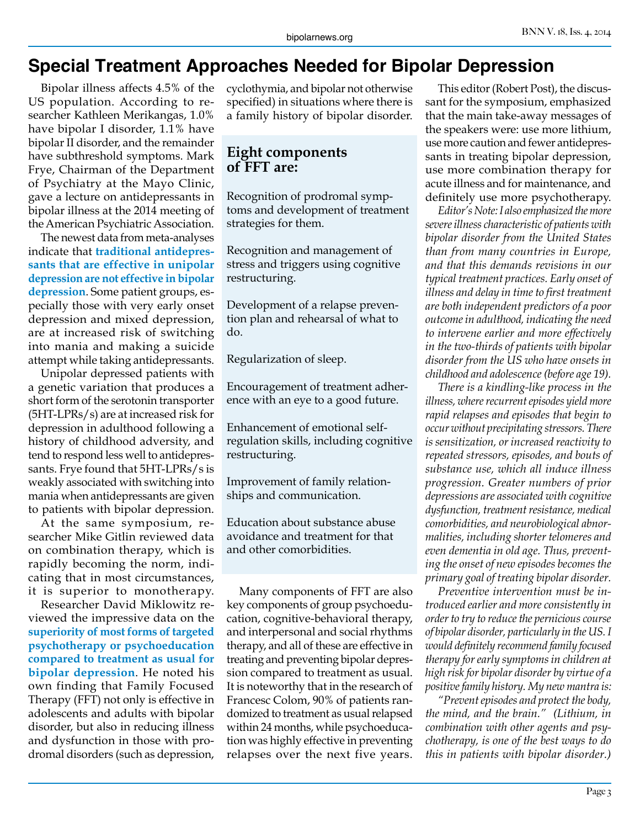# **Special Treatment Approaches Needed for Bipolar Depression**

Bipolar illness affects 4.5% of the US population. According to researcher Kathleen Merikangas, 1.0% have bipolar I disorder, 1.1% have bipolar II disorder, and the remainder have subthreshold symptoms. Mark Frye, Chairman of the Department of Psychiatry at the Mayo Clinic, gave a lecture on antidepressants in bipolar illness at the 2014 meeting of the American Psychiatric Association.

The newest data from meta-analyses indicate that **traditional antidepressants that are effective in unipolar depression are not effective in bipolar depression**. Some patient groups, especially those with very early onset depression and mixed depression, are at increased risk of switching into mania and making a suicide attempt while taking antidepressants.

Unipolar depressed patients with a genetic variation that produces a short form of the serotonin transporter (5HT-LPRs/s) are at increased risk for depression in adulthood following a history of childhood adversity, and tend to respond less well to antidepressants. Frye found that 5HT-LPRs/s is weakly associated with switching into mania when antidepressants are given to patients with bipolar depression.

At the same symposium, researcher Mike Gitlin reviewed data on combination therapy, which is rapidly becoming the norm, indicating that in most circumstances, it is superior to monotherapy.

Researcher David Miklowitz reviewed the impressive data on the **superiority of most forms of targeted psychotherapy or psychoeducation compared to treatment as usual for bipolar depression**. He noted his own finding that Family Focused Therapy (FFT) not only is effective in adolescents and adults with bipolar disorder, but also in reducing illness and dysfunction in those with prodromal disorders (such as depression,

cyclothymia, and bipolar not otherwise specified) in situations where there is a family history of bipolar disorder.

#### **Eight components of FFT are:**

Recognition of prodromal symptoms and development of treatment strategies for them.

Recognition and management of stress and triggers using cognitive restructuring.

Development of a relapse prevention plan and rehearsal of what to do.

Regularization of sleep.

Encouragement of treatment adherence with an eye to a good future.

Enhancement of emotional selfregulation skills, including cognitive restructuring.

Improvement of family relationships and communication.

Education about substance abuse avoidance and treatment for that and other comorbidities.

Many components of FFT are also key components of group psychoeducation, cognitive-behavioral therapy, and interpersonal and social rhythms therapy, and all of these are effective in treating and preventing bipolar depression compared to treatment as usual. It is noteworthy that in the research of Francesc Colom, 90% of patients randomized to treatment as usual relapsed within 24 months, while psychoeducation was highly effective in preventing relapses over the next five years.

This editor (Robert Post), the discussant for the symposium, emphasized that the main take-away messages of the speakers were: use more lithium, use more caution and fewer antidepressants in treating bipolar depression, use more combination therapy for acute illness and for maintenance, and definitely use more psychotherapy.

*Editor's Note: I also emphasized the more severe illness characteristic of patients with bipolar disorder from the United States than from many countries in Europe, and that this demands revisions in our typical treatment practices. Early onset of illness and delay in time to first treatment are both independent predictors of a poor outcome in adulthood, indicating the need to intervene earlier and more effectively in the two-thirds of patients with bipolar disorder from the US who have onsets in childhood and adolescence (before age 19).*

*There is a kindling-like process in the illness, where recurrent episodes yield more rapid relapses and episodes that begin to occur without precipitating stressors. There is sensitization, or increased reactivity to repeated stressors, episodes, and bouts of substance use, which all induce illness progression. Greater numbers of prior depressions are associated with cognitive dysfunction, treatment resistance, medical comorbidities, and neurobiological abnormalities, including shorter telomeres and even dementia in old age. Thus, preventing the onset of new episodes becomes the primary goal of treating bipolar disorder.*

*Preventive intervention must be introduced earlier and more consistently in order to try to reduce the pernicious course of bipolar disorder, particularly in the US. I would definitely recommend family focused therapy for early symptoms in children at high risk for bipolar disorder by virtue of a positive family history. My new mantra is:*

*"Prevent episodes and protect the body, the mind, and the brain." (Lithium, in combination with other agents and psychotherapy, is one of the best ways to do this in patients with bipolar disorder.)*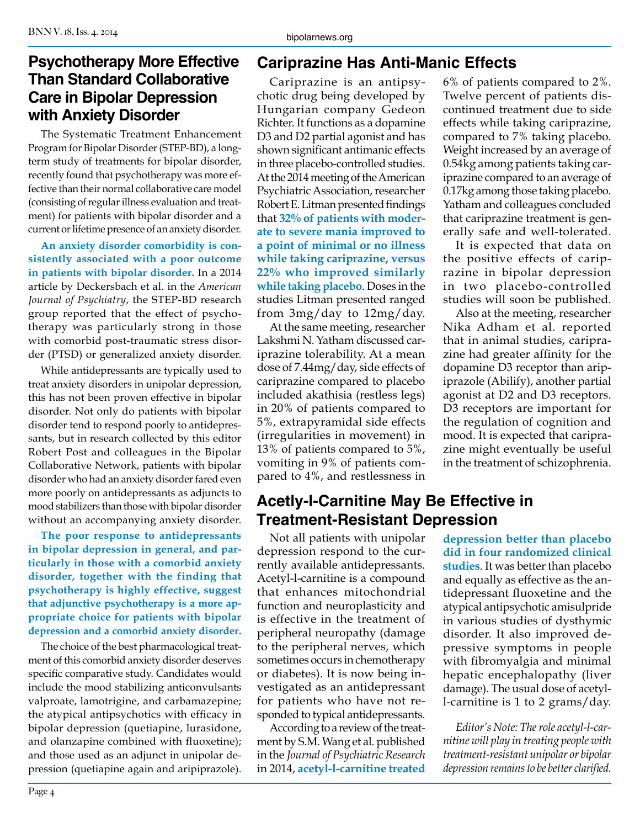## **Psychotherapy More Effective Than Standard Collaborative Care in Bipolar Depression with Anxiety Disorder**

The Systematic Treatment Enhancement Program for Bipolar Disorder (STEP-BD), a longterm study of treatments for bipolar disorder, recently found that psychotherapy was more effective than their normal collaborative care model (consisting of regular illness evaluation and treatment) for patients with bipolar disorder and a current or lifetime presence of an anxiety disorder.

**An anxiety disorder comorbidity is consistently associated with a poor outcome in patients with bipolar disorder.** In a 2014 article by Deckersbach et al. in the *American Journal of Psychiatry*, the STEP-BD research group reported that the effect of psychotherapy was particularly strong in those with comorbid post-traumatic stress disorder (PTSD) or generalized anxiety disorder.

While antidepressants are typically used to treat anxiety disorders in unipolar depression, this has not been proven effective in bipolar disorder. Not only do patients with bipolar disorder tend to respond poorly to antidepressants, but in research collected by this editor Robert Post and colleagues in the Bipolar Collaborative Network, patients with bipolar disorder who had an anxiety disorder fared even more poorly on antidepressants as adjuncts to mood stabilizers than those with bipolar disorder without an accompanying anxiety disorder.

**The poor response to antidepressants in bipolar depression in general, and particularly in those with a comorbid anxiety disorder, together with the finding that psychotherapy is highly effective, suggest that adjunctive psychotherapy is a more appropriate choice for patients with bipolar depression and a comorbid anxiety disorder.**

The choice of the best pharmacological treatment of this comorbid anxiety disorder deserves specific comparative study. Candidates would include the mood stabilizing anticonvulsants valproate, lamotrigine, and carbamazepine; the atypical antipsychotics with efficacy in bipolar depression (quetiapine, lurasidone, and olanzapine combined with fluoxetine); and those used as an adjunct in unipolar depression (quetiapine again and aripiprazole).

# **Cariprazine Has Anti-Manic Effects**

Cariprazine is an antipsychotic drug being developed by Hungarian company Gedeon Richter. It functions as a dopamine D3 and D2 partial agonist and has shown significant antimanic effects in three placebo-controlled studies. At the 2014 meeting of the American Psychiatric Association, researcher Robert E. Litman presented findings that **32% of patients with moderate to severe mania improved to a point of minimal or no illness while taking cariprazine, versus 22% who improved similarly while taking placebo**. Doses in the studies Litman presented ranged from 3mg/day to 12mg/day.

At the same meeting, researcher Lakshmi N. Yatham discussed cariprazine tolerability. At a mean dose of 7.44mg/day, side effects of cariprazine compared to placebo included akathisia (restless legs) in 20% of patients compared to 5%, extrapyramidal side effects (irregularities in movement) in 13% of patients compared to 5%, vomiting in 9% of patients compared to 4%, and restlessness in

# **Acetly-l-Carnitine May Be Effective in Treatment-Resistant Depression**

Not all patients with unipolar depression respond to the currently available antidepressants. Acetyl-l-carnitine is a compound that enhances mitochondrial function and neuroplasticity and is effective in the treatment of peripheral neuropathy (damage to the peripheral nerves, which sometimes occurs in chemotherapy or diabetes). It is now being investigated as an antidepressant for patients who have not responded to typical antidepressants.

According to a review of the treatment by S.M. Wang et al. published in the *Journal of Psychiatric Research* in 2014, **acetyl-l-carnitine treated**  6% of patients compared to 2%. Twelve percent of patients discontinued treatment due to side effects while taking cariprazine, compared to 7% taking placebo. Weight increased by an average of 0.54kg among patients taking cariprazine compared to an average of 0.17kg among those taking placebo. Yatham and colleagues concluded that cariprazine treatment is generally safe and well-tolerated.

It is expected that data on the positive effects of cariprazine in bipolar depression in two placebo-controlled studies will soon be published.

Also at the meeting, researcher Nika Adham et al. reported that in animal studies, cariprazine had greater affinity for the dopamine D3 receptor than aripiprazole (Abilify), another partial agonist at D2 and D3 receptors. D3 receptors are important for the regulation of cognition and mood. It is expected that cariprazine might eventually be useful in the treatment of schizophrenia.

**depression better than placebo did in four randomized clinical studies**. It was better than placebo and equally as effective as the antidepressant fluoxetine and the atypical antipsychotic amisulpride in various studies of dysthymic disorder. It also improved depressive symptoms in people with fibromyalgia and minimal hepatic encephalopathy (liver damage). The usual dose of acetyll-carnitine is 1 to 2 grams/day.

*Editor's Note: The role acetyl-l-carnitine will play in treating people with treatment-resistant unipolar or bipolar depression remains to be better clarified.*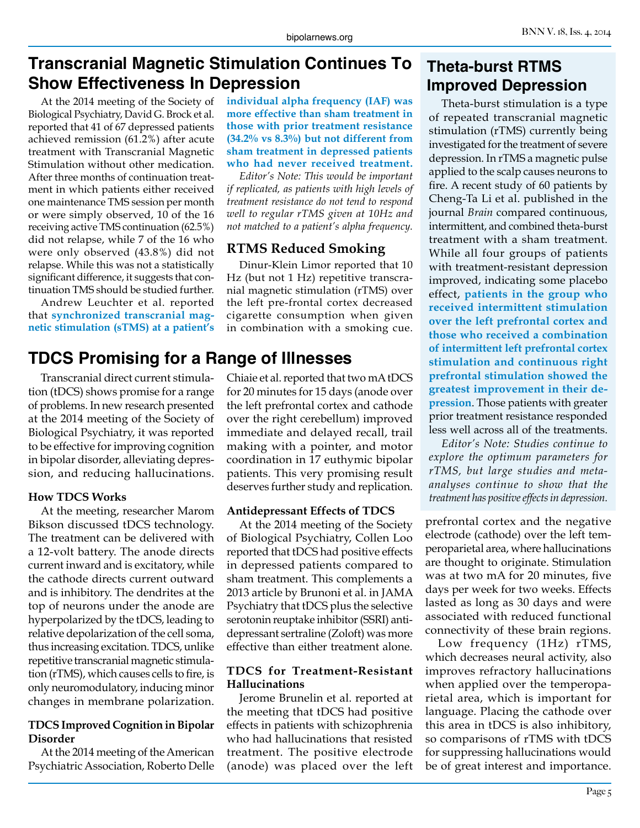# **Transcranial Magnetic Stimulation Continues To Show Effectiveness In Depression**

At the 2014 meeting of the Society of Biological Psychiatry, David G. Brock et al. reported that 41 of 67 depressed patients achieved remission (61.2%) after acute treatment with Transcranial Magnetic Stimulation without other medication. After three months of continuation treatment in which patients either received one maintenance TMS session per month or were simply observed, 10 of the 16 receiving active TMS continuation (62.5%) did not relapse, while 7 of the 16 who were only observed (43.8%) did not relapse. While this was not a statistically significant difference, it suggests that continuation TMS should be studied further.

Andrew Leuchter et al. reported that **synchronized transcranial magnetic stimulation (sTMS) at a patient's** 

# **TDCS Promising for a Range of Illnesses**

Transcranial direct current stimulation (tDCS) shows promise for a range of problems. In new research presented at the 2014 meeting of the Society of Biological Psychiatry, it was reported to be effective for improving cognition in bipolar disorder, alleviating depression, and reducing hallucinations.

#### **How TDCS Works**

At the meeting, researcher Marom Bikson discussed tDCS technology. The treatment can be delivered with a 12-volt battery. The anode directs current inward and is excitatory, while the cathode directs current outward and is inhibitory. The dendrites at the top of neurons under the anode are hyperpolarized by the tDCS, leading to relative depolarization of the cell soma, thus increasing excitation. TDCS, unlike repetitive transcranial magnetic stimulation (rTMS), which causes cells to fire, is only neuromodulatory, inducing minor changes in membrane polarization.

#### **TDCS Improved Cognition in Bipolar Disorder**

At the 2014 meeting of the American Psychiatric Association, Roberto Delle **individual alpha frequency (IAF) was more effective than sham treatment in those with prior treatment resistance (34.2% vs 8.3%) but not different from sham treatment in depressed patients who had never received treatment.**

*Editor's Note: This would be important if replicated, as patients with high levels of treatment resistance do not tend to respond well to regular rTMS given at 10Hz and not matched to a patient's alpha frequency.*

### **RTMS Reduced Smoking**

Dinur-Klein Limor reported that 10 Hz (but not 1 Hz) repetitive transcranial magnetic stimulation (rTMS) over the left pre-frontal cortex decreased cigarette consumption when given in combination with a smoking cue.

Chiaie et al. reported that two mA tDCS for 20 minutes for 15 days (anode over the left prefrontal cortex and cathode over the right cerebellum) improved immediate and delayed recall, trail making with a pointer, and motor coordination in 17 euthymic bipolar patients. This very promising result deserves further study and replication.

#### **Antidepressant Effects of TDCS**

At the 2014 meeting of the Society of Biological Psychiatry, Collen Loo reported that tDCS had positive effects in depressed patients compared to sham treatment. This complements a 2013 article by Brunoni et al. in JAMA Psychiatry that tDCS plus the selective serotonin reuptake inhibitor (SSRI) antidepressant sertraline (Zoloft) was more effective than either treatment alone.

#### **TDCS for Treatment-Resistant Hallucinations**

Jerome Brunelin et al. reported at the meeting that tDCS had positive effects in patients with schizophrenia who had hallucinations that resisted treatment. The positive electrode (anode) was placed over the left

# **Theta-burst RTMS Improved Depression**

Theta-burst stimulation is a type of repeated transcranial magnetic stimulation (rTMS) currently being investigated for the treatment of severe depression. In rTMS a magnetic pulse applied to the scalp causes neurons to fire. A recent study of 60 patients by Cheng-Ta Li et al. published in the journal *Brain* compared continuous, intermittent, and combined theta-burst treatment with a sham treatment. While all four groups of patients with treatment-resistant depression improved, indicating some placebo effect, **patients in the group who received intermittent stimulation over the left prefrontal cortex and those who received a combination of intermittent left prefrontal cortex stimulation and continuous right prefrontal stimulation showed the greatest improvement in their depression**. Those patients with greater prior treatment resistance responded less well across all of the treatments.

*Editor's Note: Studies continue to explore the optimum parameters for rTMS, but large studies and metaanalyses continue to show that the treatment has positive effects in depression.*

prefrontal cortex and the negative electrode (cathode) over the left temperoparietal area, where hallucinations are thought to originate. Stimulation was at two mA for 20 minutes, five days per week for two weeks. Effects lasted as long as 30 days and were associated with reduced functional connectivity of these brain regions.

Low frequency (1Hz) rTMS, which decreases neural activity, also improves refractory hallucinations when applied over the temperoparietal area, which is important for language. Placing the cathode over this area in tDCS is also inhibitory, so comparisons of rTMS with tDCS for suppressing hallucinations would be of great interest and importance.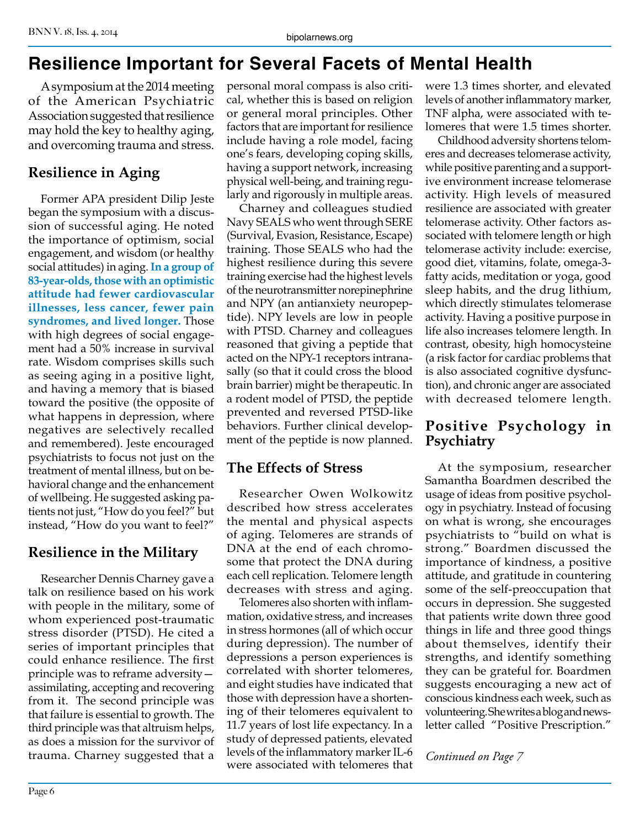# **Resilience Important for Several Facets of Mental Health**

A symposium at the 2014 meeting of the American Psychiatric Association suggested that resilience may hold the key to healthy aging, and overcoming trauma and stress.

# **Resilience in Aging**

Former APA president Dilip Jeste began the symposium with a discussion of successful aging. He noted the importance of optimism, social engagement, and wisdom (or healthy social attitudes) in aging. **In a group of 83-year-olds, those with an optimistic attitude had fewer cardiovascular illnesses, less cancer, fewer pain syndromes, and lived longer.** Those with high degrees of social engagement had a 50% increase in survival rate. Wisdom comprises skills such as seeing aging in a positive light, and having a memory that is biased toward the positive (the opposite of what happens in depression, where negatives are selectively recalled and remembered). Jeste encouraged psychiatrists to focus not just on the treatment of mental illness, but on behavioral change and the enhancement of wellbeing. He suggested asking patients not just, "How do you feel?" but instead, "How do you want to feel?"

# **Resilience in the Military**

Researcher Dennis Charney gave a talk on resilience based on his work with people in the military, some of whom experienced post-traumatic stress disorder (PTSD). He cited a series of important principles that could enhance resilience. The first principle was to reframe adversity assimilating, accepting and recovering from it. The second principle was that failure is essential to growth. The third principle was that altruism helps, as does a mission for the survivor of trauma. Charney suggested that a

personal moral compass is also critical, whether this is based on religion or general moral principles. Other factors that are important for resilience include having a role model, facing one's fears, developing coping skills, having a support network, increasing physical well-being, and training regularly and rigorously in multiple areas.

Charney and colleagues studied Navy SEALS who went through SERE (Survival, Evasion, Resistance, Escape) training. Those SEALS who had the highest resilience during this severe training exercise had the highest levels of the neurotransmitter norepinephrine and NPY (an antianxiety neuropeptide). NPY levels are low in people with PTSD. Charney and colleagues reasoned that giving a peptide that acted on the NPY-1 receptors intranasally (so that it could cross the blood brain barrier) might be therapeutic. In a rodent model of PTSD, the peptide prevented and reversed PTSD-like behaviors. Further clinical development of the peptide is now planned.

# **The Effects of Stress**

Researcher Owen Wolkowitz described how stress accelerates the mental and physical aspects of aging. Telomeres are strands of DNA at the end of each chromosome that protect the DNA during each cell replication. Telomere length decreases with stress and aging.

Telomeres also shorten with inflammation, oxidative stress, and increases in stress hormones (all of which occur during depression). The number of depressions a person experiences is correlated with shorter telomeres, and eight studies have indicated that those with depression have a shortening of their telomeres equivalent to 11.7 years of lost life expectancy. In a study of depressed patients, elevated levels of the inflammatory marker IL-6 were associated with telomeres that were 1.3 times shorter, and elevated levels of another inflammatory marker, TNF alpha, were associated with telomeres that were 1.5 times shorter.

Childhood adversity shortens telomeres and decreases telomerase activity, while positive parenting and a supportive environment increase telomerase activity. High levels of measured resilience are associated with greater telomerase activity. Other factors associated with telomere length or high telomerase activity include: exercise, good diet, vitamins, folate, omega-3 fatty acids, meditation or yoga, good sleep habits, and the drug lithium, which directly stimulates telomerase activity. Having a positive purpose in life also increases telomere length. In contrast, obesity, high homocysteine (a risk factor for cardiac problems that is also associated cognitive dysfunction), and chronic anger are associated with decreased telomere length.

# **Positive Psychology in Psychiatry**

At the symposium, researcher Samantha Boardmen described the usage of ideas from positive psychology in psychiatry. Instead of focusing on what is wrong, she encourages psychiatrists to "build on what is strong." Boardmen discussed the importance of kindness, a positive attitude, and gratitude in countering some of the self-preoccupation that occurs in depression. She suggested that patients write down three good things in life and three good things about themselves, identify their strengths, and identify something they can be grateful for. Boardmen suggests encouraging a new act of conscious kindness each week, such as volunteering. She writes a blog and newsletter called "Positive Prescription."

*Continued on Page 7*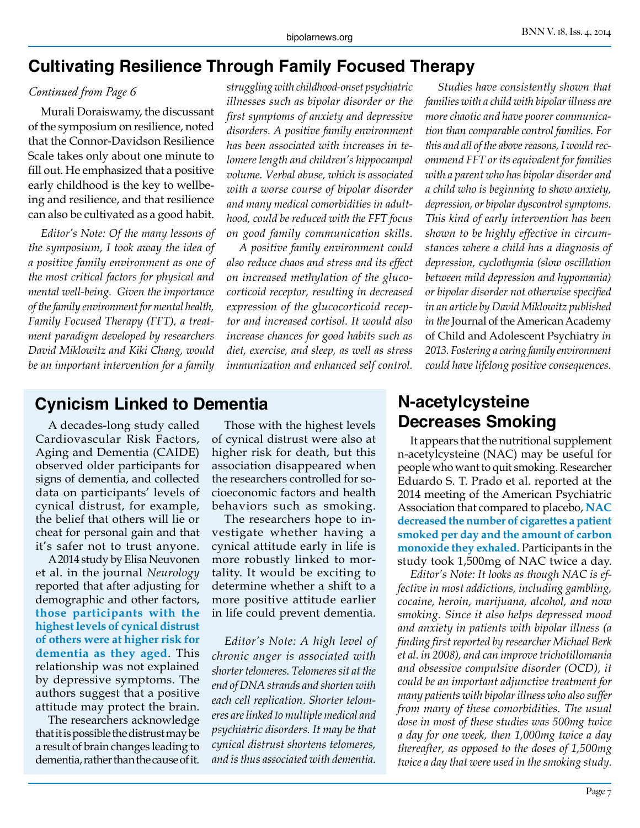# **Cultivating Resilience Through Family Focused Therapy**

#### *Continued from Page 6*

Murali Doraiswamy, the discussant of the symposium on resilience, noted that the Connor-Davidson Resilience Scale takes only about one minute to fill out. He emphasized that a positive early childhood is the key to wellbeing and resilience, and that resilience can also be cultivated as a good habit.

*Editor's Note: Of the many lessons of the symposium, I took away the idea of a positive family environment as one of the most critical factors for physical and mental well-being. Given the importance of the family environment for mental health, Family Focused Therapy (FFT), a treatment paradigm developed by researchers David Miklowitz and Kiki Chang, would be an important intervention for a family* 

*struggling with childhood-onset psychiatric illnesses such as bipolar disorder or the first symptoms of anxiety and depressive disorders. A positive family environment has been associated with increases in telomere length and children's hippocampal volume. Verbal abuse, which is associated with a worse course of bipolar disorder and many medical comorbidities in adulthood, could be reduced with the FFT focus on good family communication skills.* 

*A positive family environment could also reduce chaos and stress and its effect on increased methylation of the glucocorticoid receptor, resulting in decreased expression of the glucocorticoid receptor and increased cortisol. It would also increase chances for good habits such as diet, exercise, and sleep, as well as stress immunization and enhanced self control.*

*Studies have consistently shown that families with a child with bipolar illness are more chaotic and have poorer communication than comparable control families. For this and all of the above reasons, I would recommend FFT or its equivalent for families with a parent who has bipolar disorder and a child who is beginning to show anxiety, depression, or bipolar dyscontrol symptoms. This kind of early intervention has been shown to be highly effective in circumstances where a child has a diagnosis of depression, cyclothymia (slow oscillation between mild depression and hypomania) or bipolar disorder not otherwise specified in an article by David Miklowitz published in the* Journal of the American Academy of Child and Adolescent Psychiatry *in 2013. Fostering a caring family environment could have lifelong positive consequences.*

## **Cynicism Linked to Dementia**

A decades-long study called Cardiovascular Risk Factors, Aging and Dementia (CAIDE) observed older participants for signs of dementia, and collected data on participants' levels of cynical distrust, for example, the belief that others will lie or cheat for personal gain and that it's safer not to trust anyone.

A 2014 study by Elisa Neuvonen et al. in the journal *Neurology* reported that after adjusting for demographic and other factors, **those participants with the highest levels of cynical distrust of others were at higher risk for dementia as they aged**. This relationship was not explained by depressive symptoms. The authors suggest that a positive attitude may protect the brain.

The researchers acknowledge that it is possible the distrust may be a result of brain changes leading to dementia, rather than the cause of it.

Those with the highest levels of cynical distrust were also at higher risk for death, but this association disappeared when the researchers controlled for socioeconomic factors and health behaviors such as smoking.

The researchers hope to investigate whether having a cynical attitude early in life is more robustly linked to mortality. It would be exciting to determine whether a shift to a more positive attitude earlier in life could prevent dementia.

*Editor's Note: A high level of chronic anger is associated with shorter telomeres. Telomeres sit at the end of DNA strands and shorten with each cell replication. Shorter telomeres are linked to multiple medical and psychiatric disorders. It may be that cynical distrust shortens telomeres, and is thus associated with dementia.*

# **N-acetylcysteine Decreases Smoking**

It appears that the nutritional supplement n-acetylcysteine (NAC) may be useful for people who want to quit smoking. Researcher Eduardo S. T. Prado et al. reported at the 2014 meeting of the American Psychiatric Association that compared to placebo, **NAC decreased the number of cigarettes a patient smoked per day and the amount of carbon monoxide they exhaled**. Participants in the study took 1,500mg of NAC twice a day.

*Editor's Note: It looks as though NAC is effective in most addictions, including gambling, cocaine, heroin, marijuana, alcohol, and now smoking. Since it also helps depressed mood and anxiety in patients with bipolar illness (a finding first reported by researcher Michael Berk et al. in 2008), and can improve trichotillomania and obsessive compulsive disorder (OCD), it could be an important adjunctive treatment for many patients with bipolar illness who also suffer from many of these comorbidities. The usual dose in most of these studies was 500mg twice a day for one week, then 1,000mg twice a day thereafter, as opposed to the doses of 1,500mg twice a day that were used in the smoking study.*